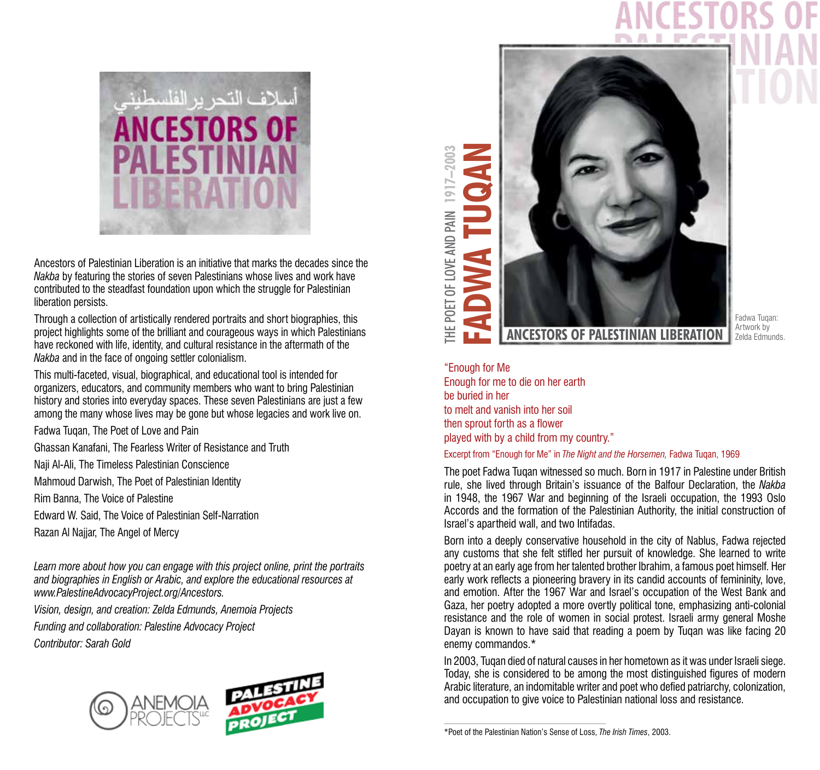

Ancestors of Palestinian Liberation is an initiative that marks the decades since the *Nakba* by featuring the stories of seven Palestinians whose lives and work have contributed to the steadfast foundation upon which the struggle for Palestinian liberation persists.

Through a collection of artistically rendered portraits and short biographies, this project highlights some of the brilliant and courageous ways in which Palestinians have reckoned with life, identity, and cultural resistance in the aftermath of the *Nakba* and in the face of ongoing settler colonialism.

This multi-faceted, visual, biographical, and educational tool is intended for organizers, educators, and community members who want to bring Palestinian history and stories into everyday spaces. These seven Palestinians are just a few among the many whose lives may be gone but whose legacies and work live on.

Fadwa Tuqan, The Poet of Love and Pain

Ghassan Kanafani, The Fearless Writer of Resistance and Truth

Naji Al-Ali, The Timeless Palestinian Conscience

Mahmoud Darwish, The Poet of Palestinian Identity

Rim Banna, The Voice of Palestine

Edward W. Said, The Voice of Palestinian Self-Narration

Razan Al Najjar, The Angel of Mercy

*Learn more about how you can engage with this project online, print the portraits and biographies in English or Arabic, and explore the educational resources at www.PalestineAdvocacyProject.org/Ancestors.* 

*Vision, design, and creation: Zelda Edmunds, Anemoia Projects Funding and collaboration: Palestine Advocacy Project Contributor: Sarah Gold* 



**1917–2003** HE POET OF LOVE AND PAIN THE POET OF LOVE AND PAIN



Fadwa Tuqan: Artwork by Zelda Edmunds.

"Enough for Me Enough for me to die on her earth be buried in her to melt and vanish into her soil then sprout forth as a flower played with by a child from my country."

## Excerpt from "Enough for Me" in *The Night and the Horsemen,* Fadwa Tuqan, 1969

The poet Fadwa Tuqan witnessed so much. Born in 1917 in Palestine under British rule, she lived through Britain's issuance of the Balfour Declaration, the *Nakba*  in 1948, the 1967 War and beginning of the Israeli occupation, the 1993 Oslo Accords and the formation of the Palestinian Authority, the initial construction of Israel's apartheid wall, and two Intifadas.

Born into a deeply conservative household in the city of Nablus, Fadwa rejected any customs that she felt stifled her pursuit of knowledge. She learned to write poetry at an early age from her talented brother Ibrahim, a famous poet himself. Her early work reflects a pioneering bravery in its candid accounts of femininity, love, and emotion. After the 1967 War and Israel's occupation of the West Bank and Gaza, her poetry adopted a more overtly political tone, emphasizing anti-colonial resistance and the role of women in social protest. Israeli army general Moshe Dayan is known to have said that reading a poem by Tuqan was like facing 20 enemy commandos.\*

In 2003, Tuqan died of natural causes in her hometown as it was under Israeli siege. Today, she is considered to be among the most distinguished figures of modern Arabic literature, an indomitable writer and poet who defied patriarchy, colonization, and occupation to give voice to Palestinian national loss and resistance.

\*Poet of the Palestinian Nation's Sense of Loss, *The Irish Times*, 2003.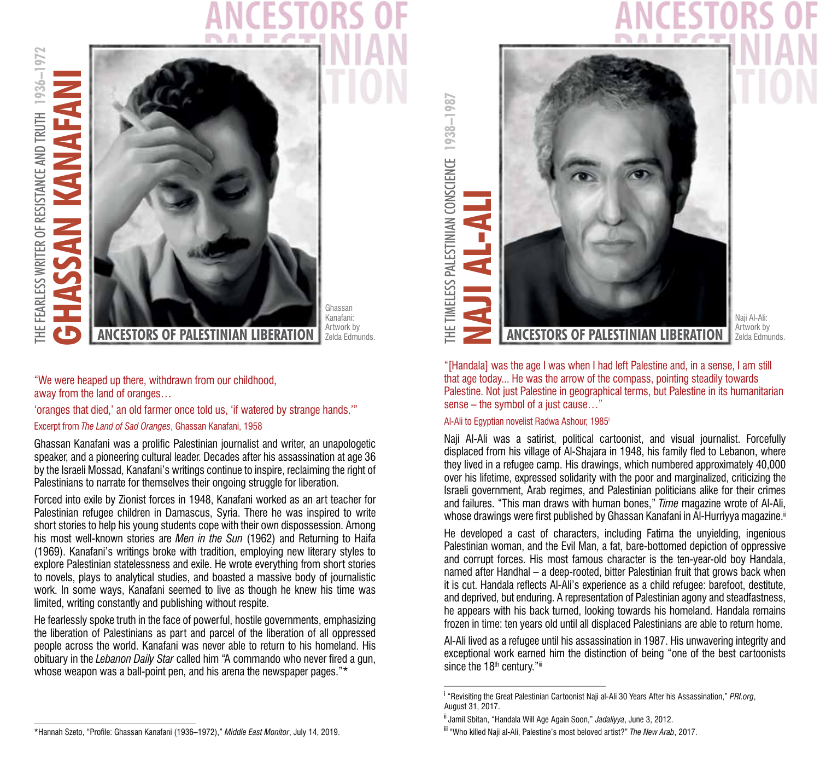# HE FEARLESS WRITER OF RESISTANCE AND TRUTH 1936-1972 **1936–1972 GHASSAN KANAFANI** HASSAN KANAFAN THE FEARLESS WRITER OF RESISTANCE AND TRUTH t



Ghassan Kanafani: Artwork by Zelda Edmunds.

"We were heaped up there, withdrawn from our childhood, away from the land of oranges…

'oranges that died,' an old farmer once told us, 'if watered by strange hands.'"

Excerpt from *The Land of Sad Oranges*, Ghassan Kanafani, 1958

Ghassan Kanafani was a prolific Palestinian journalist and writer, an unapologetic speaker, and a pioneering cultural leader. Decades after his assassination at age 36 by the Israeli Mossad, Kanafani's writings continue to inspire, reclaiming the right of Palestinians to narrate for themselves their ongoing struggle for liberation.

Forced into exile by Zionist forces in 1948, Kanafani worked as an art teacher for Palestinian refugee children in Damascus, Syria. There he was inspired to write short stories to help his young students cope with their own dispossession. Among his most well-known stories are *Men in the Sun* (1962) and Returning to Haifa (1969). Kanafani's writings broke with tradition, employing new literary styles to explore Palestinian statelessness and exile. He wrote everything from short stories to novels, plays to analytical studies, and boasted a massive body of journalistic work. In some ways, Kanafani seemed to live as though he knew his time was limited, writing constantly and publishing without respite.

He fearlessly spoke truth in the face of powerful, hostile governments, emphasizing the liberation of Palestinians as part and parcel of the liberation of all oppressed people across the world. Kanafani was never able to return to his homeland. His obituary in the *Lebanon Daily Star* called him "A commando who never fired a gun, whose weapon was a ball-point pen, and his arena the newspaper pages."\*

THE TIMELESS PALESTINIAN CONSCIENCE 1938-1987 **1938–1987** THE TIMELESS PALESTINIAN CONSCIENCE **NAJI AL-ALI**



Naji Al-Ali: Artwork by Zelda Edmunds.

"[Handala] was the age I was when I had left Palestine and, in a sense, I am still that age today... He was the arrow of the compass, pointing steadily towards Palestine. Not just Palestine in geographical terms, but Palestine in its humanitarian sense – the symbol of a just cause…"

## Al-Ali to Egyptian novelist Radwa Ashour, 1985i

Naji Al-Ali was a satirist, political cartoonist, and visual journalist. Forcefully displaced from his village of Al-Shajara in 1948, his family fled to Lebanon, where they lived in a refugee camp. His drawings, which numbered approximately 40,000 over his lifetime, expressed solidarity with the poor and marginalized, criticizing the Israeli government, Arab regimes, and Palestinian politicians alike for their crimes and failures. "This man draws with human bones," *Time* magazine wrote of Al-Ali, whose drawings were first published by Ghassan Kanafani in Al-Hurriyya magazine.<sup>ii</sup>

He developed a cast of characters, including Fatima the unyielding, ingenious Palestinian woman, and the Evil Man, a fat, bare-bottomed depiction of oppressive and corrupt forces. His most famous character is the ten-year-old boy Handala, named after Handhal – a deep-rooted, bitter Palestinian fruit that grows back when it is cut. Handala reflects Al-Ali's experience as a child refugee: barefoot, destitute, and deprived, but enduring. A representation of Palestinian agony and steadfastness, he appears with his back turned, looking towards his homeland. Handala remains frozen in time: ten years old until all displaced Palestinians are able to return home.

Al-Ali lived as a refugee until his assassination in 1987. His unwavering integrity and exceptional work earned him the distinction of being "one of the best cartoonists since the 18<sup>th</sup> century."iii

i <sup>i</sup> "Revisiting the Great Palestinian Cartoonist Naji al-Ali 30 Years After his Assassination," PRI.org, August 31, 2017.

ii Jamil Sbitan, "Handala Will Age Again Soon," *Jadaliyya*, June 3, 2012.

iii "Who killed Naji al-Ali, Palestine's most beloved artist?" *The New Arab*, 2017.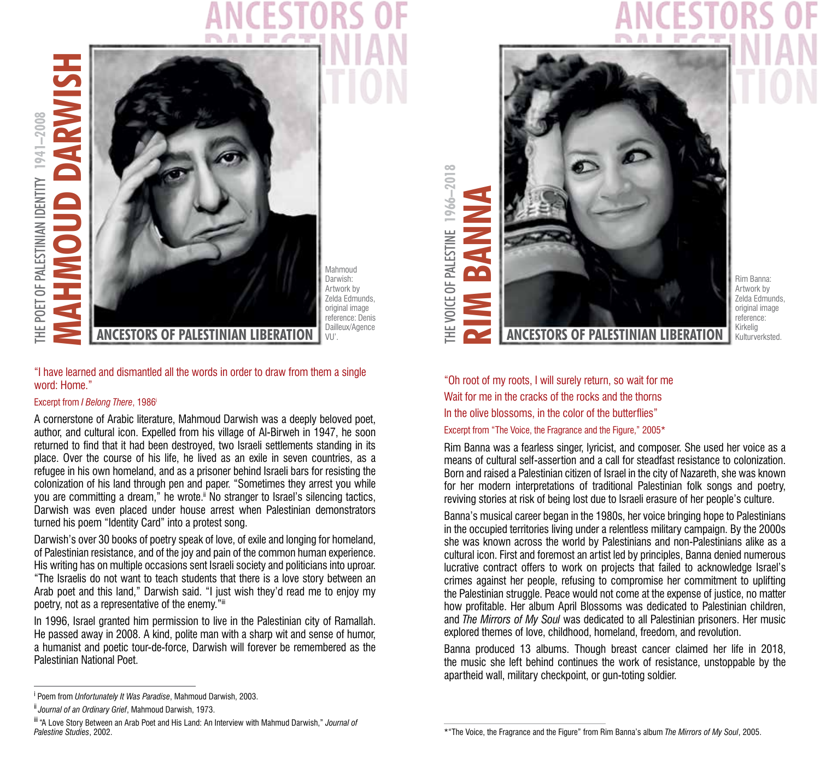HE POET OF PALESTINIAN IDENTITY 1941-2008 **1941–2008** THE POET OF PALESTINIAN IDENTITY



Mahmoud Darwish: Artwork by Zelda Edmunds, original image reference: Denis Dailleux/Agence

## "I have learned and dismantled all the words in order to draw from them a single word: Home."

## Excerpt from *I Belong There*, 1986i

A cornerstone of Arabic literature, Mahmoud Darwish was a deeply beloved poet, author, and cultural icon. Expelled from his village of Al-Birweh in 1947, he soon returned to find that it had been destroyed, two Israeli settlements standing in its place. Over the course of his life, he lived as an exile in seven countries, as a refugee in his own homeland, and as a prisoner behind Israeli bars for resisting the colonization of his land through pen and paper. "Sometimes they arrest you while you are committing a dream," he wrote." No stranger to Israel's silencing tactics, Darwish was even placed under house arrest when Palestinian demonstrators turned his poem "Identity Card" into a protest song.

Darwish's over 30 books of poetry speak of love, of exile and longing for homeland, of Palestinian resistance, and of the joy and pain of the common human experience. His writing has on multiple occasions sent Israeli society and politicians into uproar. "The Israelis do not want to teach students that there is a love story between an Arab poet and this land," Darwish said. "I just wish they'd read me to enjoy my poetry, not as a representative of the enemy."iii

In 1996, Israel granted him permission to live in the Palestinian city of Ramallah. He passed away in 2008. A kind, polite man with a sharp wit and sense of humor, a humanist and poetic tour-de-force, Darwish will forever be remembered as the Palestinian National Poet.



Rim Banna: Artwork by Zelda Edmunds, original image reference: Kirkelig Kulturverksted.

"Oh root of my roots, I will surely return, so wait for me Wait for me in the cracks of the rocks and the thorns In the olive blossoms, in the color of the butterflies" Excerpt from "The Voice, the Fragrance and the Figure," 2005\*

Rim Banna was a fearless singer, lyricist, and composer. She used her voice as a means of cultural self-assertion and a call for steadfast resistance to colonization. Born and raised a Palestinian citizen of Israel in the city of Nazareth, she was known for her modern interpretations of traditional Palestinian folk songs and poetry, reviving stories at risk of being lost due to Israeli erasure of her people's culture.

Banna's musical career began in the 1980s, her voice bringing hope to Palestinians in the occupied territories living under a relentless military campaign. By the 2000s she was known across the world by Palestinians and non-Palestinians alike as a cultural icon. First and foremost an artist led by principles, Banna denied numerous lucrative contract offers to work on projects that failed to acknowledge Israel's crimes against her people, refusing to compromise her commitment to uplifting the Palestinian struggle. Peace would not come at the expense of justice, no matter how profitable. Her album April Blossoms was dedicated to Palestinian children, and *The Mirrors of My Soul* was dedicated to all Palestinian prisoners. Her music explored themes of love, childhood, homeland, freedom, and revolution.

Banna produced 13 albums. Though breast cancer claimed her life in 2018, the music she left behind continues the work of resistance, unstoppable by the apartheid wall, military checkpoint, or gun-toting soldier.

**<sup>1966–2018</sup>** 1966 **HE VOICE OF PALESTINE** THE VOICE OF PALESTINE

i Poem from *Unfortunately It Was Paradise*, Mahmoud Darwish, 2003.

ii *Journal of an Ordinary Grief*, Mahmoud Darwish, 1973.

iii "A Love Story Between an Arab Poet and His Land: An Interview with Mahmud Darwish," *Journal of Palestine Studies*, 2002.